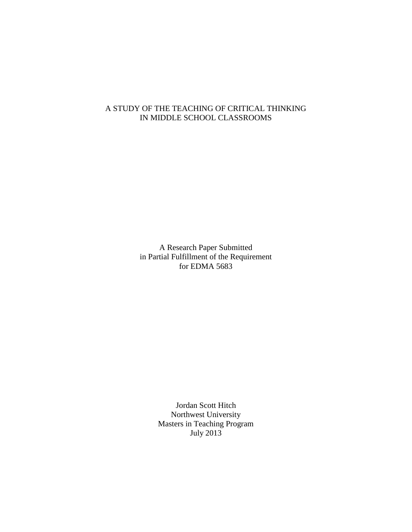A Research Paper Submitted in Partial Fulfillment of the Requirement for EDMA 5683

> Jordan Scott Hitch Northwest University Masters in Teaching Program July 2013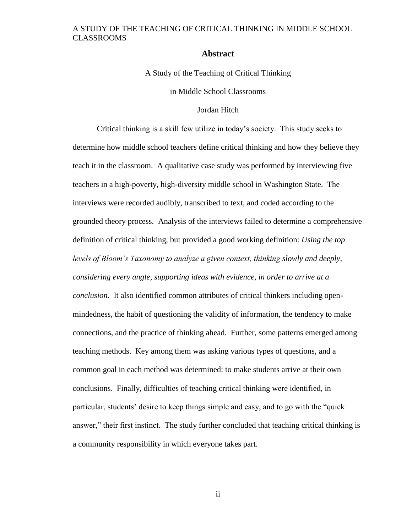#### **Abstract**

<span id="page-1-0"></span>A Study of the Teaching of Critical Thinking

in Middle School Classrooms

Jordan Hitch

Critical thinking is a skill few utilize in today's society. This study seeks to determine how middle school teachers define critical thinking and how they believe they teach it in the classroom. A qualitative case study was performed by interviewing five teachers in a high-poverty, high-diversity middle school in Washington State. The interviews were recorded audibly, transcribed to text, and coded according to the grounded theory process. Analysis of the interviews failed to determine a comprehensive definition of critical thinking, but provided a good working definition: *Using the top levels of Bloom's Taxonomy to analyze a given context, thinking slowly and deeply, considering every angle, supporting ideas with evidence, in order to arrive at a conclusion.* It also identified common attributes of critical thinkers including openmindedness, the habit of questioning the validity of information, the tendency to make connections, and the practice of thinking ahead. Further, some patterns emerged among teaching methods. Key among them was asking various types of questions, and a common goal in each method was determined: to make students arrive at their own conclusions. Finally, difficulties of teaching critical thinking were identified, in particular, students' desire to keep things simple and easy, and to go with the "quick answer," their first instinct. The study further concluded that teaching critical thinking is a community responsibility in which everyone takes part.

ii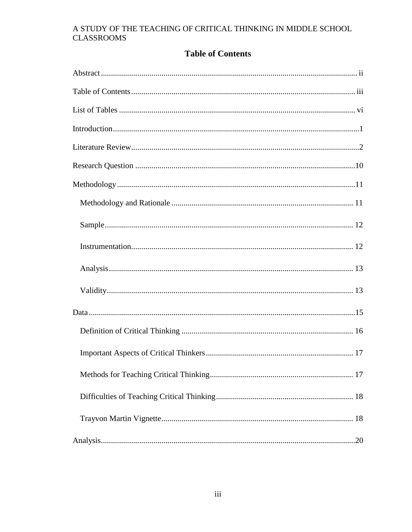# **Table of Contents**

<span id="page-2-0"></span>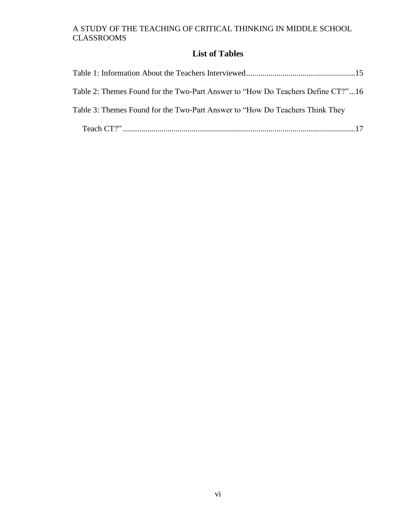# **List of Tables**

<span id="page-5-0"></span>

| Table 2: Themes Found for the Two-Part Answer to "How Do Teachers Define CT?"16 |  |
|---------------------------------------------------------------------------------|--|
| Table 3: Themes Found for the Two-Part Answer to "How Do Teachers Think They"   |  |
|                                                                                 |  |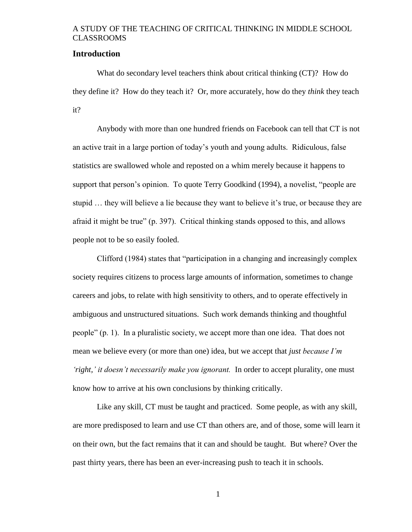#### <span id="page-6-0"></span>**Introduction**

What do secondary level teachers think about critical thinking (CT)? How do they define it? How do they teach it? Or, more accurately, how do they *think* they teach it?

Anybody with more than one hundred friends on Facebook can tell that CT is not an active trait in a large portion of today's youth and young adults. Ridiculous, false statistics are swallowed whole and reposted on a whim merely because it happens to support that person's opinion. To quote Terry Goodkind (1994), a novelist, "people are stupid … they will believe a lie because they want to believe it's true, or because they are afraid it might be true" (p. 397). Critical thinking stands opposed to this, and allows people not to be so easily fooled.

Clifford (1984) states that "participation in a changing and increasingly complex society requires citizens to process large amounts of information, sometimes to change careers and jobs, to relate with high sensitivity to others, and to operate effectively in ambiguous and unstructured situations. Such work demands thinking and thoughtful people" (p. 1). In a pluralistic society, we accept more than one idea. That does not mean we believe every (or more than one) idea, but we accept that *just because I'm 'right,' it doesn't necessarily make you ignorant.* In order to accept plurality, one must know how to arrive at his own conclusions by thinking critically.

Like any skill, CT must be taught and practiced. Some people, as with any skill, are more predisposed to learn and use CT than others are, and of those, some will learn it on their own, but the fact remains that it can and should be taught. But where? Over the past thirty years, there has been an ever-increasing push to teach it in schools.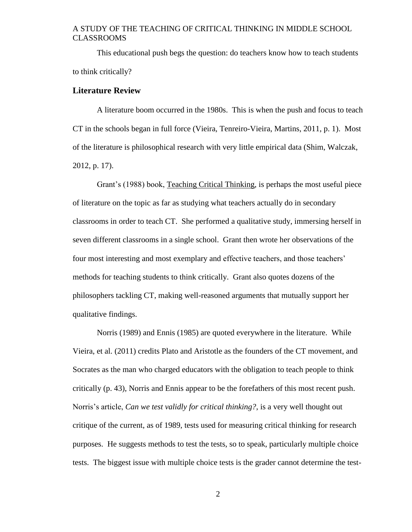This educational push begs the question: do teachers know how to teach students to think critically?

#### <span id="page-7-0"></span>**Literature Review**

A literature boom occurred in the 1980s. This is when the push and focus to teach CT in the schools began in full force (Vieira, Tenreiro-Vieira, Martins, 2011, p. 1). Most of the literature is philosophical research with very little empirical data (Shim, Walczak, 2012, p. 17).

Grant's (1988) book, Teaching Critical Thinking, is perhaps the most useful piece of literature on the topic as far as studying what teachers actually do in secondary classrooms in order to teach CT. She performed a qualitative study, immersing herself in seven different classrooms in a single school. Grant then wrote her observations of the four most interesting and most exemplary and effective teachers, and those teachers' methods for teaching students to think critically. Grant also quotes dozens of the philosophers tackling CT, making well-reasoned arguments that mutually support her qualitative findings.

Norris (1989) and Ennis (1985) are quoted everywhere in the literature. While Vieira, et al. (2011) credits Plato and Aristotle as the founders of the CT movement, and Socrates as the man who charged educators with the obligation to teach people to think critically (p. 43), Norris and Ennis appear to be the forefathers of this most recent push. Norris's article, *Can we test validly for critical thinking?*, is a very well thought out critique of the current, as of 1989, tests used for measuring critical thinking for research purposes. He suggests methods to test the tests, so to speak, particularly multiple choice tests. The biggest issue with multiple choice tests is the grader cannot determine the test-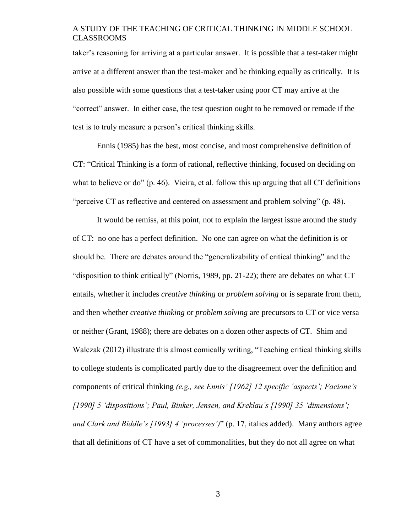taker's reasoning for arriving at a particular answer. It is possible that a test-taker might arrive at a different answer than the test-maker and be thinking equally as critically. It is also possible with some questions that a test-taker using poor CT may arrive at the "correct" answer. In either case, the test question ought to be removed or remade if the test is to truly measure a person's critical thinking skills.

Ennis (1985) has the best, most concise, and most comprehensive definition of CT: "Critical Thinking is a form of rational, reflective thinking, focused on deciding on what to believe or do" (p. 46). Vieira, et al. follow this up arguing that all CT definitions "perceive CT as reflective and centered on assessment and problem solving" (p. 48).

It would be remiss, at this point, not to explain the largest issue around the study of CT: no one has a perfect definition. No one can agree on what the definition is or should be. There are debates around the "generalizability of critical thinking" and the "disposition to think critically" (Norris, 1989, pp. 21-22); there are debates on what CT entails, whether it includes *creative thinking* or *problem solving* or is separate from them, and then whether *creative thinking* or *problem solving* are precursors to CT or vice versa or neither (Grant, 1988); there are debates on a dozen other aspects of CT. Shim and Walczak (2012) illustrate this almost comically writing, "Teaching critical thinking skills to college students is complicated partly due to the disagreement over the definition and components of critical thinking *(e.g., see Ennis' [1962] 12 specific 'aspects'; Facione's [1990] 5 'dispositions'; Paul, Binker, Jensen, and Kreklau's [1990] 35 'dimensions'; and Clark and Biddle's [1993] 4 'processes')*" (p. 17, italics added). Many authors agree that all definitions of CT have a set of commonalities, but they do not all agree on what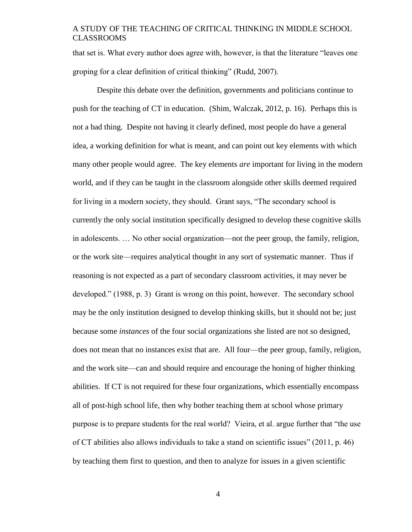that set is. What every author does agree with, however, is that the literature "leaves one groping for a clear definition of critical thinking" (Rudd, 2007).

Despite this debate over the definition, governments and politicians continue to push for the teaching of CT in education. (Shim, Walczak, 2012, p. 16). Perhaps this is not a bad thing. Despite not having it clearly defined, most people do have a general idea, a working definition for what is meant, and can point out key elements with which many other people would agree. The key elements *are* important for living in the modern world, and if they can be taught in the classroom alongside other skills deemed required for living in a modern society, they should. Grant says, "The secondary school is currently the only social institution specifically designed to develop these cognitive skills in adolescents. … No other social organization—not the peer group, the family, religion, or the work site—requires analytical thought in any sort of systematic manner. Thus if reasoning is not expected as a part of secondary classroom activities, it may never be developed." (1988, p. 3) Grant is wrong on this point, however. The secondary school may be the only institution designed to develop thinking skills, but it should not be; just because some *instances* of the four social organizations she listed are not so designed, does not mean that no instances exist that are. All four—the peer group, family, religion, and the work site—can and should require and encourage the honing of higher thinking abilities. If CT is not required for these four organizations, which essentially encompass all of post-high school life, then why bother teaching them at school whose primary purpose is to prepare students for the real world? Vieira, et al. argue further that "the use of CT abilities also allows individuals to take a stand on scientific issues" (2011, p. 46) by teaching them first to question, and then to analyze for issues in a given scientific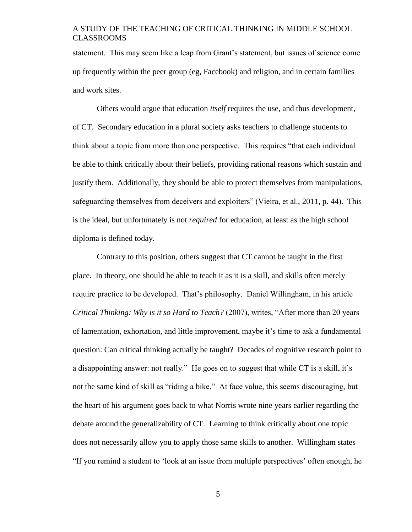statement. This may seem like a leap from Grant's statement, but issues of science come up frequently within the peer group (eg, Facebook) and religion, and in certain families and work sites.

Others would argue that education *itself* requires the use, and thus development, of CT. Secondary education in a plural society asks teachers to challenge students to think about a topic from more than one perspective. This requires "that each individual be able to think critically about their beliefs, providing rational reasons which sustain and justify them. Additionally, they should be able to protect themselves from manipulations, safeguarding themselves from deceivers and exploiters" (Vieira, et al., 2011, p. 44). This is the ideal, but unfortunately is not *required* for education, at least as the high school diploma is defined today.

Contrary to this position, others suggest that CT cannot be taught in the first place. In theory, one should be able to teach it as it is a skill, and skills often merely require practice to be developed. That's philosophy. Daniel Willingham, in his article *Critical Thinking: Why is it so Hard to Teach?* (2007), writes, "After more than 20 years of lamentation, exhortation, and little improvement, maybe it's time to ask a fundamental question: Can critical thinking actually be taught? Decades of cognitive research point to a disappointing answer: not really." He goes on to suggest that while CT is a skill, it's not the same kind of skill as "riding a bike." At face value, this seems discouraging, but the heart of his argument goes back to what Norris wrote nine years earlier regarding the debate around the generalizability of CT. Learning to think critically about one topic does not necessarily allow you to apply those same skills to another. Willingham states "If you remind a student to 'look at an issue from multiple perspectives' often enough, he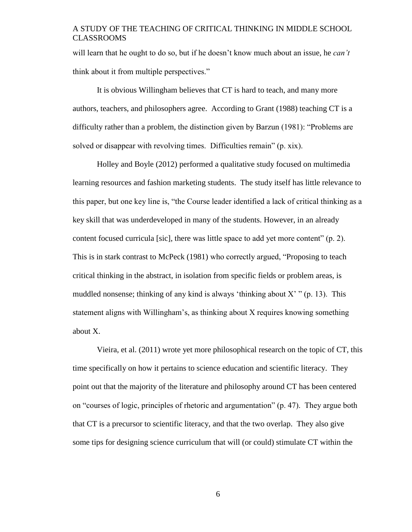will learn that he ought to do so, but if he doesn't know much about an issue, he *can't* think about it from multiple perspectives."

It is obvious Willingham believes that CT is hard to teach, and many more authors, teachers, and philosophers agree. According to Grant (1988) teaching CT is a difficulty rather than a problem, the distinction given by Barzun (1981): "Problems are solved or disappear with revolving times. Difficulties remain" (p. xix).

Holley and Boyle (2012) performed a qualitative study focused on multimedia learning resources and fashion marketing students. The study itself has little relevance to this paper, but one key line is, "the Course leader identified a lack of critical thinking as a key skill that was underdeveloped in many of the students. However, in an already content focused curricula [sic], there was little space to add yet more content" (p. 2). This is in stark contrast to McPeck (1981) who correctly argued, "Proposing to teach critical thinking in the abstract, in isolation from specific fields or problem areas, is muddled nonsense; thinking of any kind is always 'thinking about  $X'$ " (p. 13). This statement aligns with Willingham's, as thinking about X requires knowing something about X.

Vieira, et al. (2011) wrote yet more philosophical research on the topic of CT, this time specifically on how it pertains to science education and scientific literacy. They point out that the majority of the literature and philosophy around CT has been centered on "courses of logic, principles of rhetoric and argumentation" (p. 47). They argue both that CT is a precursor to scientific literacy, and that the two overlap. They also give some tips for designing science curriculum that will (or could) stimulate CT within the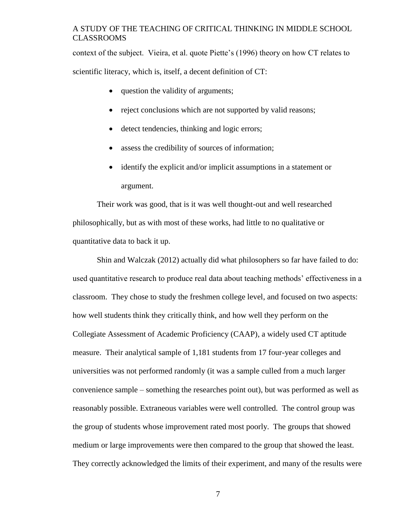context of the subject. Vieira, et al. quote Piette's (1996) theory on how CT relates to scientific literacy, which is, itself, a decent definition of CT:

- question the validity of arguments;
- reject conclusions which are not supported by valid reasons;
- detect tendencies, thinking and logic errors;
- assess the credibility of sources of information;
- identify the explicit and/or implicit assumptions in a statement or argument.

Their work was good, that is it was well thought-out and well researched philosophically, but as with most of these works, had little to no qualitative or quantitative data to back it up.

Shin and Walczak (2012) actually did what philosophers so far have failed to do: used quantitative research to produce real data about teaching methods' effectiveness in a classroom. They chose to study the freshmen college level, and focused on two aspects: how well students think they critically think, and how well they perform on the Collegiate Assessment of Academic Proficiency (CAAP), a widely used CT aptitude measure. Their analytical sample of 1,181 students from 17 four-year colleges and universities was not performed randomly (it was a sample culled from a much larger convenience sample – something the researches point out), but was performed as well as reasonably possible. Extraneous variables were well controlled. The control group was the group of students whose improvement rated most poorly. The groups that showed medium or large improvements were then compared to the group that showed the least. They correctly acknowledged the limits of their experiment, and many of the results were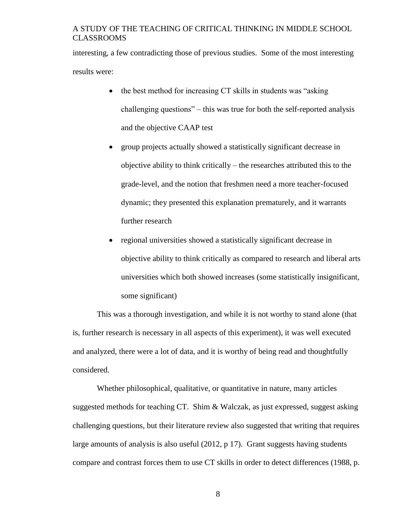interesting, a few contradicting those of previous studies. Some of the most interesting results were:

- the best method for increasing CT skills in students was "asking" challenging questions" – this was true for both the self-reported analysis and the objective CAAP test
- group projects actually showed a statistically significant decrease in objective ability to think critically – the researches attributed this to the grade-level, and the notion that freshmen need a more teacher-focused dynamic; they presented this explanation prematurely, and it warrants further research
- regional universities showed a statistically significant decrease in objective ability to think critically as compared to research and liberal arts universities which both showed increases (some statistically insignificant, some significant)

This was a thorough investigation, and while it is not worthy to stand alone (that is, further research is necessary in all aspects of this experiment), it was well executed and analyzed, there were a lot of data, and it is worthy of being read and thoughtfully considered.

Whether philosophical, qualitative, or quantitative in nature, many articles suggested methods for teaching CT. Shim & Walczak, as just expressed, suggest asking challenging questions, but their literature review also suggested that writing that requires large amounts of analysis is also useful (2012, p 17). Grant suggests having students compare and contrast forces them to use CT skills in order to detect differences (1988, p.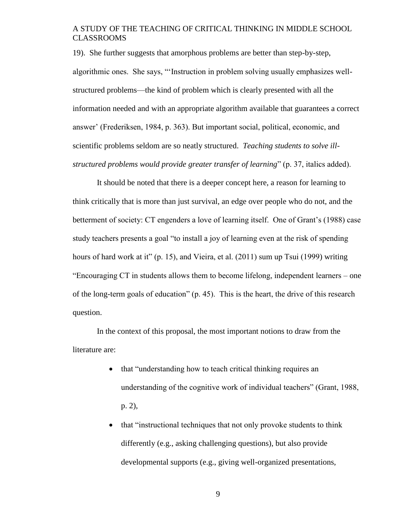19). She further suggests that amorphous problems are better than step-by-step, algorithmic ones. She says, "'Instruction in problem solving usually emphasizes wellstructured problems—the kind of problem which is clearly presented with all the information needed and with an appropriate algorithm available that guarantees a correct answer' (Frederiksen, 1984, p. 363). But important social, political, economic, and scientific problems seldom are so neatly structured. *Teaching students to solve illstructured problems would provide greater transfer of learning*" (p. 37, italics added).

It should be noted that there is a deeper concept here, a reason for learning to think critically that is more than just survival, an edge over people who do not, and the betterment of society: CT engenders a love of learning itself. One of Grant's (1988) case study teachers presents a goal "to install a joy of learning even at the risk of spending hours of hard work at it" (p. 15), and Vieira, et al. (2011) sum up Tsui (1999) writing "Encouraging CT in students allows them to become lifelong, independent learners – one of the long-term goals of education" (p. 45). This is the heart, the drive of this research question.

In the context of this proposal, the most important notions to draw from the literature are:

- that "understanding how to teach critical thinking requires an understanding of the cognitive work of individual teachers" (Grant, 1988, p. 2),
- that "instructional techniques that not only provoke students to think differently (e.g., asking challenging questions), but also provide developmental supports (e.g., giving well-organized presentations,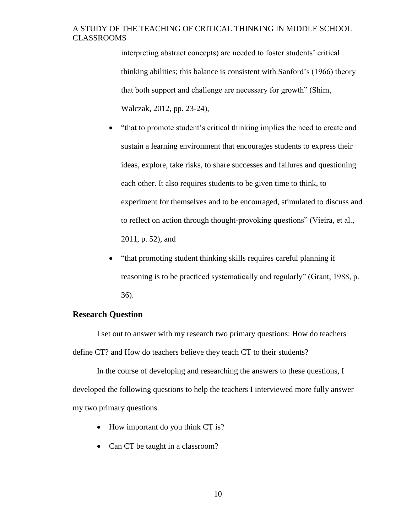interpreting abstract concepts) are needed to foster students' critical thinking abilities; this balance is consistent with Sanford's (1966) theory that both support and challenge are necessary for growth" (Shim, Walczak, 2012, pp. 23-24),

- "that to promote student's critical thinking implies the need to create and sustain a learning environment that encourages students to express their ideas, explore, take risks, to share successes and failures and questioning each other. It also requires students to be given time to think, to experiment for themselves and to be encouraged, stimulated to discuss and to reflect on action through thought-provoking questions" (Vieira, et al., 2011, p. 52), and
- "that promoting student thinking skills requires careful planning if reasoning is to be practiced systematically and regularly" (Grant, 1988, p. 36).

### <span id="page-15-0"></span>**Research Question**

I set out to answer with my research two primary questions: How do teachers define CT? and How do teachers believe they teach CT to their students?

In the course of developing and researching the answers to these questions, I developed the following questions to help the teachers I interviewed more fully answer my two primary questions.

- How important do you think CT is?
- Can CT be taught in a classroom?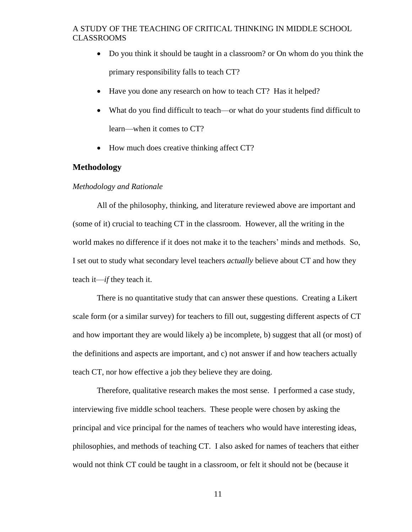- Do you think it should be taught in a classroom? or On whom do you think the primary responsibility falls to teach CT?
- Have you done any research on how to teach CT? Has it helped?
- What do you find difficult to teach—or what do your students find difficult to learn—when it comes to CT?
- How much does creative thinking affect CT?

#### <span id="page-16-0"></span>**Methodology**

#### <span id="page-16-1"></span>*Methodology and Rationale*

All of the philosophy, thinking, and literature reviewed above are important and (some of it) crucial to teaching CT in the classroom. However, all the writing in the world makes no difference if it does not make it to the teachers' minds and methods. So, I set out to study what secondary level teachers *actually* believe about CT and how they teach it—*if* they teach it.

There is no quantitative study that can answer these questions. Creating a Likert scale form (or a similar survey) for teachers to fill out, suggesting different aspects of CT and how important they are would likely a) be incomplete, b) suggest that all (or most) of the definitions and aspects are important, and c) not answer if and how teachers actually teach CT, nor how effective a job they believe they are doing.

Therefore, qualitative research makes the most sense. I performed a case study, interviewing five middle school teachers. These people were chosen by asking the principal and vice principal for the names of teachers who would have interesting ideas, philosophies, and methods of teaching CT. I also asked for names of teachers that either would not think CT could be taught in a classroom, or felt it should not be (because it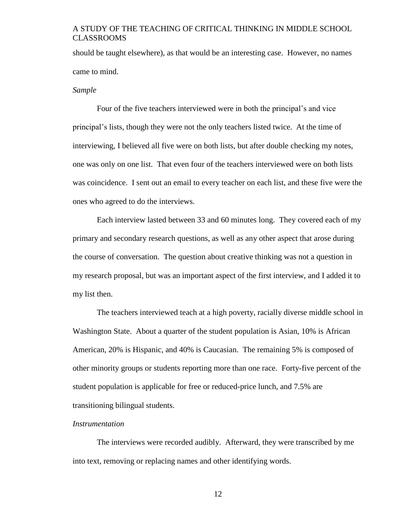should be taught elsewhere), as that would be an interesting case. However, no names came to mind.

#### <span id="page-17-0"></span>*Sample*

Four of the five teachers interviewed were in both the principal's and vice principal's lists, though they were not the only teachers listed twice. At the time of interviewing, I believed all five were on both lists, but after double checking my notes, one was only on one list. That even four of the teachers interviewed were on both lists was coincidence. I sent out an email to every teacher on each list, and these five were the ones who agreed to do the interviews.

Each interview lasted between 33 and 60 minutes long. They covered each of my primary and secondary research questions, as well as any other aspect that arose during the course of conversation. The question about creative thinking was not a question in my research proposal, but was an important aspect of the first interview, and I added it to my list then.

The teachers interviewed teach at a high poverty, racially diverse middle school in Washington State. About a quarter of the student population is Asian, 10% is African American, 20% is Hispanic, and 40% is Caucasian. The remaining 5% is composed of other minority groups or students reporting more than one race. Forty-five percent of the student population is applicable for free or reduced-price lunch, and 7.5% are transitioning bilingual students.

#### <span id="page-17-1"></span>*Instrumentation*

The interviews were recorded audibly. Afterward, they were transcribed by me into text, removing or replacing names and other identifying words.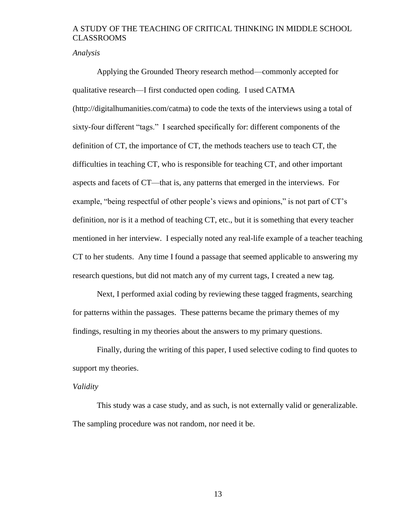<span id="page-18-0"></span>*Analysis*

Applying the Grounded Theory research method—commonly accepted for qualitative research—I first conducted open coding. I used CATMA (http://digitalhumanities.com/catma) to code the texts of the interviews using a total of sixty-four different "tags." I searched specifically for: different components of the definition of CT, the importance of CT, the methods teachers use to teach CT, the difficulties in teaching CT, who is responsible for teaching CT, and other important aspects and facets of CT—that is, any patterns that emerged in the interviews. For example, "being respectful of other people's views and opinions," is not part of CT's definition, nor is it a method of teaching CT, etc., but it is something that every teacher mentioned in her interview. I especially noted any real-life example of a teacher teaching CT to her students. Any time I found a passage that seemed applicable to answering my research questions, but did not match any of my current tags, I created a new tag.

Next, I performed axial coding by reviewing these tagged fragments, searching for patterns within the passages. These patterns became the primary themes of my findings, resulting in my theories about the answers to my primary questions.

Finally, during the writing of this paper, I used selective coding to find quotes to support my theories.

#### <span id="page-18-1"></span>*Validity*

This study was a case study, and as such, is not externally valid or generalizable. The sampling procedure was not random, nor need it be.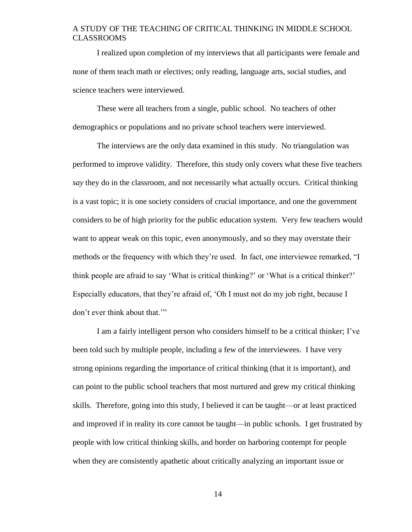I realized upon completion of my interviews that all participants were female and none of them teach math or electives; only reading, language arts, social studies, and science teachers were interviewed.

These were all teachers from a single, public school. No teachers of other demographics or populations and no private school teachers were interviewed.

The interviews are the only data examined in this study. No triangulation was performed to improve validity. Therefore, this study only covers what these five teachers *say* they do in the classroom, and not necessarily what actually occurs. Critical thinking is a vast topic; it is one society considers of crucial importance, and one the government considers to be of high priority for the public education system. Very few teachers would want to appear weak on this topic, even anonymously, and so they may overstate their methods or the frequency with which they're used. In fact, one interviewee remarked, "I think people are afraid to say 'What is critical thinking?' or 'What is a critical thinker?' Especially educators, that they're afraid of, 'Oh I must not do my job right, because I don't ever think about that.'"

I am a fairly intelligent person who considers himself to be a critical thinker; I've been told such by multiple people, including a few of the interviewees. I have very strong opinions regarding the importance of critical thinking (that it is important), and can point to the public school teachers that most nurtured and grew my critical thinking skills. Therefore, going into this study, I believed it can be taught—or at least practiced and improved if in reality its core cannot be taught—in public schools. I get frustrated by people with low critical thinking skills, and border on harboring contempt for people when they are consistently apathetic about critically analyzing an important issue or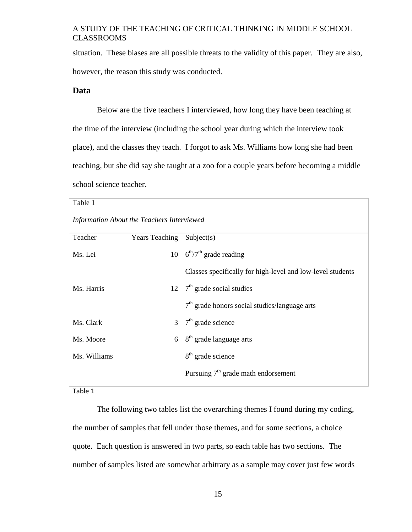situation. These biases are all possible threats to the validity of this paper. They are also, however, the reason this study was conducted.

#### <span id="page-20-0"></span>**Data**

Below are the five teachers I interviewed, how long they have been teaching at the time of the interview (including the school year during which the interview took place), and the classes they teach. I forgot to ask Ms. Williams how long she had been teaching, but she did say she taught at a zoo for a couple years before becoming a middle school science teacher.

<span id="page-20-1"></span>

| Table 1                                    |                                  |                                                            |  |
|--------------------------------------------|----------------------------------|------------------------------------------------------------|--|
| Information About the Teachers Interviewed |                                  |                                                            |  |
| Teacher                                    | <b>Years Teaching Subject(s)</b> |                                                            |  |
| Ms. Lei                                    |                                  | 10 $6^{\text{th}}/7^{\text{th}}$ grade reading             |  |
|                                            |                                  | Classes specifically for high-level and low-level students |  |
| Ms. Harris                                 |                                  | 12 $7th$ grade social studies                              |  |
|                                            |                                  | $7th$ grade honors social studies/language arts            |  |
| Ms. Clark                                  |                                  | 3 $7th$ grade science                                      |  |
| Ms. Moore                                  | 6                                | 8 <sup>th</sup> grade language arts                        |  |
| Ms. Williams                               |                                  | $8th$ grade science                                        |  |
|                                            |                                  | Pursuing $7th$ grade math endorsement                      |  |

Table 1

The following two tables list the overarching themes I found during my coding, the number of samples that fell under those themes, and for some sections, a choice quote. Each question is answered in two parts, so each table has two sections. The number of samples listed are somewhat arbitrary as a sample may cover just few words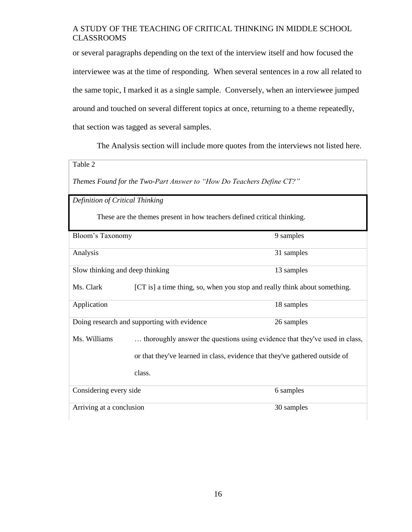or several paragraphs depending on the text of the interview itself and how focused the interviewee was at the time of responding. When several sentences in a row all related to the same topic, I marked it as a single sample. Conversely, when an interviewee jumped around and touched on several different topics at once, returning to a theme repeatedly, that section was tagged as several samples.

The Analysis section will include more quotes from the interviews not listed here.

<span id="page-21-1"></span><span id="page-21-0"></span>

| Table 2                                                              |                                                                            |                                                                             |
|----------------------------------------------------------------------|----------------------------------------------------------------------------|-----------------------------------------------------------------------------|
| Themes Found for the Two-Part Answer to "How Do Teachers Define CT?" |                                                                            |                                                                             |
| Definition of Critical Thinking                                      |                                                                            |                                                                             |
|                                                                      | These are the themes present in how teachers defined critical thinking.    |                                                                             |
| Bloom's Taxonomy                                                     |                                                                            | 9 samples                                                                   |
| Analysis                                                             |                                                                            | 31 samples                                                                  |
|                                                                      | Slow thinking and deep thinking<br>13 samples                              |                                                                             |
| Ms. Clark                                                            |                                                                            | [CT is] a time thing, so, when you stop and really think about something.   |
| Application                                                          |                                                                            | 18 samples                                                                  |
|                                                                      | Doing research and supporting with evidence                                | 26 samples                                                                  |
| Ms. Williams                                                         | thoroughly answer the questions using evidence that they've used in class, |                                                                             |
|                                                                      |                                                                            | or that they've learned in class, evidence that they've gathered outside of |
|                                                                      | class.                                                                     |                                                                             |
| Considering every side                                               |                                                                            | 6 samples                                                                   |
| Arriving at a conclusion                                             |                                                                            | 30 samples                                                                  |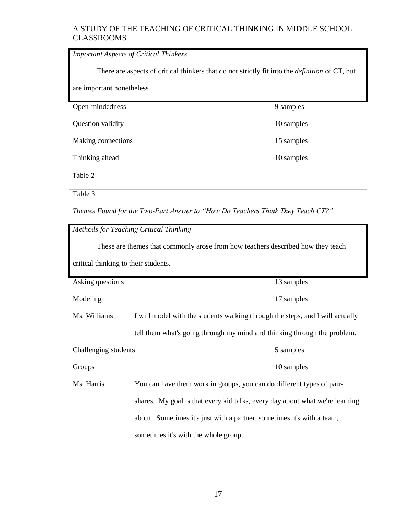<span id="page-22-0"></span>

| <b>Important Aspects of Critical Thinkers</b>                                                         |            |  |
|-------------------------------------------------------------------------------------------------------|------------|--|
| There are aspects of critical thinkers that do not strictly fit into the <i>definition</i> of CT, but |            |  |
| are important nonetheless.                                                                            |            |  |
| Open-mindedness                                                                                       | 9 samples  |  |
| Question validity                                                                                     | 10 samples |  |
| Making connections                                                                                    | 15 samples |  |
| Thinking ahead                                                                                        | 10 samples |  |

Table 2

<span id="page-22-2"></span>Table 3

*Themes Found for the Two-Part Answer to "How Do Teachers Think They Teach CT?"*

<span id="page-22-1"></span>*Methods for Teaching Critical Thinking*

These are themes that commonly arose from how teachers described how they teach

critical thinking to their students.

| Asking questions     |                                                                               | 13 samples |
|----------------------|-------------------------------------------------------------------------------|------------|
| Modeling             |                                                                               | 17 samples |
| Ms. Williams         | I will model with the students walking through the steps, and I will actually |            |
|                      | tell them what's going through my mind and thinking through the problem.      |            |
| Challenging students |                                                                               | 5 samples  |
| Groups               |                                                                               | 10 samples |
| Ms. Harris           | You can have them work in groups, you can do different types of pair-         |            |
|                      | shares. My goal is that every kid talks, every day about what we're learning  |            |
|                      | about. Sometimes it's just with a partner, sometimes it's with a team,        |            |
|                      | sometimes it's with the whole group.                                          |            |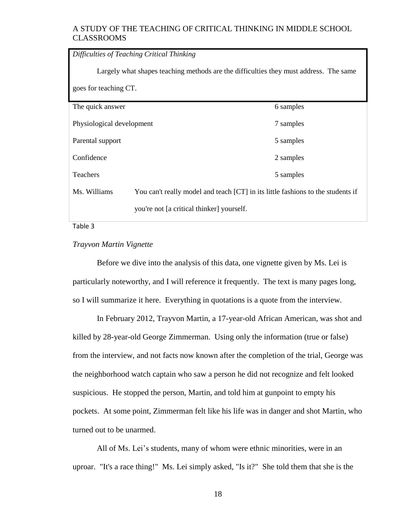<span id="page-23-0"></span>

| Difficulties of Teaching Critical Thinking                                            |                                                                                 |           |
|---------------------------------------------------------------------------------------|---------------------------------------------------------------------------------|-----------|
| Largely what shapes teaching methods are the difficulties they must address. The same |                                                                                 |           |
| goes for teaching CT.                                                                 |                                                                                 |           |
| The quick answer                                                                      |                                                                                 | 6 samples |
| Physiological development                                                             |                                                                                 | 7 samples |
| Parental support                                                                      |                                                                                 | 5 samples |
| Confidence                                                                            |                                                                                 | 2 samples |
| Teachers                                                                              |                                                                                 | 5 samples |
| Ms. Williams                                                                          | You can't really model and teach [CT] in its little fashions to the students if |           |
|                                                                                       | you're not [a critical thinker] yourself.                                       |           |

Table 3

### <span id="page-23-1"></span>*Trayvon Martin Vignette*

Before we dive into the analysis of this data, one vignette given by Ms. Lei is particularly noteworthy, and I will reference it frequently. The text is many pages long, so I will summarize it here. Everything in quotations is a quote from the interview.

In February 2012, Trayvon Martin, a 17-year-old African American, was shot and killed by 28-year-old George Zimmerman. Using only the information (true or false) from the interview, and not facts now known after the completion of the trial, George was the neighborhood watch captain who saw a person he did not recognize and felt looked suspicious. He stopped the person, Martin, and told him at gunpoint to empty his pockets. At some point, Zimmerman felt like his life was in danger and shot Martin, who turned out to be unarmed.

All of Ms. Lei's students, many of whom were ethnic minorities, were in an uproar. "It's a race thing!" Ms. Lei simply asked, "Is it?" She told them that she is the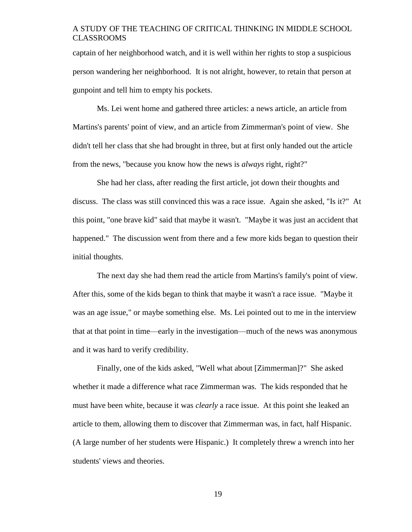captain of her neighborhood watch, and it is well within her rights to stop a suspicious person wandering her neighborhood. It is not alright, however, to retain that person at gunpoint and tell him to empty his pockets.

Ms. Lei went home and gathered three articles: a news article, an article from Martins's parents' point of view, and an article from Zimmerman's point of view. She didn't tell her class that she had brought in three, but at first only handed out the article from the news, "because you know how the news is *always* right, right?"

She had her class, after reading the first article, jot down their thoughts and discuss. The class was still convinced this was a race issue. Again she asked, "Is it?" At this point, "one brave kid" said that maybe it wasn't. "Maybe it was just an accident that happened." The discussion went from there and a few more kids began to question their initial thoughts.

The next day she had them read the article from Martins's family's point of view. After this, some of the kids began to think that maybe it wasn't a race issue. "Maybe it was an age issue," or maybe something else. Ms. Lei pointed out to me in the interview that at that point in time—early in the investigation—much of the news was anonymous and it was hard to verify credibility.

Finally, one of the kids asked, "Well what about [Zimmerman]?" She asked whether it made a difference what race Zimmerman was. The kids responded that he must have been white, because it was *clearly* a race issue. At this point she leaked an article to them, allowing them to discover that Zimmerman was, in fact, half Hispanic. (A large number of her students were Hispanic.) It completely threw a wrench into her students' views and theories.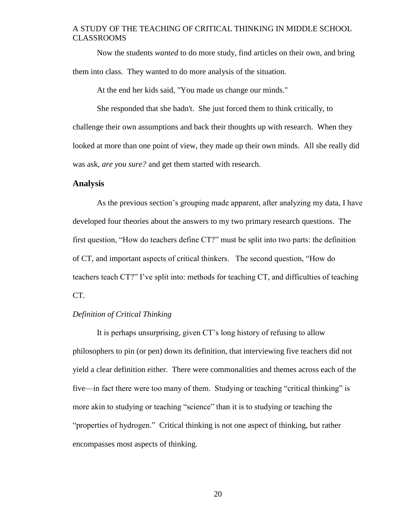Now the students *wanted* to do more study, find articles on their own, and bring them into class. They wanted to do more analysis of the situation.

At the end her kids said, "You made us change our minds."

She responded that she hadn't. She just forced them to think critically, to challenge their own assumptions and back their thoughts up with research. When they looked at more than one point of view, they made up their own minds. All she really did was ask, *are you sure?* and get them started with research.

#### <span id="page-25-0"></span>**Analysis**

As the previous section's grouping made apparent, after analyzing my data, I have developed four theories about the answers to my two primary research questions. The first question, "How do teachers define CT?" must be split into two parts: the definition of CT, and important aspects of critical thinkers. The second question, "How do teachers teach CT?" I've split into: methods for teaching CT, and difficulties of teaching CT.

#### <span id="page-25-1"></span>*Definition of Critical Thinking*

It is perhaps unsurprising, given CT's long history of refusing to allow philosophers to pin (or pen) down its definition, that interviewing five teachers did not yield a clear definition either. There were commonalities and themes across each of the five—in fact there were too many of them. Studying or teaching "critical thinking" is more akin to studying or teaching "science" than it is to studying or teaching the "properties of hydrogen." Critical thinking is not one aspect of thinking, but rather encompasses most aspects of thinking.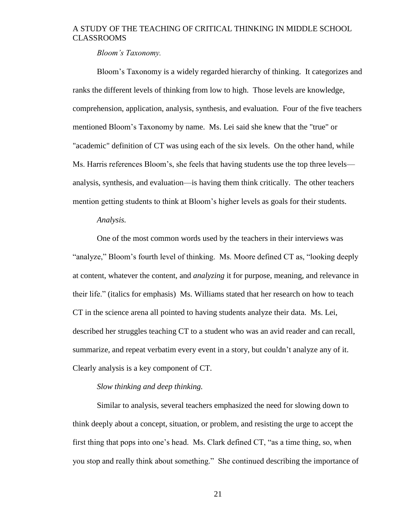*Bloom's Taxonomy.*

<span id="page-26-0"></span>Bloom's Taxonomy is a widely regarded hierarchy of thinking. It categorizes and ranks the different levels of thinking from low to high. Those levels are knowledge, comprehension, application, analysis, synthesis, and evaluation. Four of the five teachers mentioned Bloom's Taxonomy by name. Ms. Lei said she knew that the "true" or "academic" definition of CT was using each of the six levels. On the other hand, while Ms. Harris references Bloom's, she feels that having students use the top three levels analysis, synthesis, and evaluation—is having them think critically. The other teachers mention getting students to think at Bloom's higher levels as goals for their students.

### *Analysis.*

<span id="page-26-1"></span>One of the most common words used by the teachers in their interviews was "analyze," Bloom's fourth level of thinking. Ms. Moore defined CT as, "looking deeply at content, whatever the content, and *analyzing* it for purpose, meaning, and relevance in their life." (italics for emphasis) Ms. Williams stated that her research on how to teach CT in the science arena all pointed to having students analyze their data. Ms. Lei, described her struggles teaching CT to a student who was an avid reader and can recall, summarize, and repeat verbatim every event in a story, but couldn't analyze any of it. Clearly analysis is a key component of CT.

#### *Slow thinking and deep thinking.*

<span id="page-26-2"></span>Similar to analysis, several teachers emphasized the need for slowing down to think deeply about a concept, situation, or problem, and resisting the urge to accept the first thing that pops into one's head. Ms. Clark defined CT, "as a time thing, so, when you stop and really think about something." She continued describing the importance of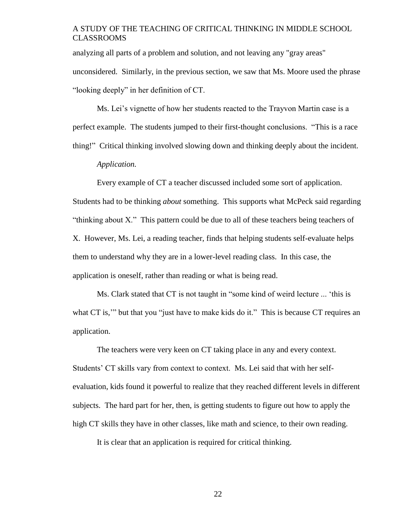analyzing all parts of a problem and solution, and not leaving any "gray areas" unconsidered. Similarly, in the previous section, we saw that Ms. Moore used the phrase "looking deeply" in her definition of CT.

Ms. Lei's vignette of how her students reacted to the Trayvon Martin case is a perfect example. The students jumped to their first-thought conclusions. "This is a race thing!" Critical thinking involved slowing down and thinking deeply about the incident.

#### *Application.*

<span id="page-27-0"></span>Every example of CT a teacher discussed included some sort of application. Students had to be thinking *about* something. This supports what McPeck said regarding "thinking about X." This pattern could be due to all of these teachers being teachers of X. However, Ms. Lei, a reading teacher, finds that helping students self-evaluate helps them to understand why they are in a lower-level reading class. In this case, the application is oneself, rather than reading or what is being read.

Ms. Clark stated that CT is not taught in "some kind of weird lecture ... 'this is what CT is," but that you "just have to make kids do it." This is because CT requires an application.

The teachers were very keen on CT taking place in any and every context. Students' CT skills vary from context to context. Ms. Lei said that with her selfevaluation, kids found it powerful to realize that they reached different levels in different subjects. The hard part for her, then, is getting students to figure out how to apply the high CT skills they have in other classes, like math and science, to their own reading.

It is clear that an application is required for critical thinking.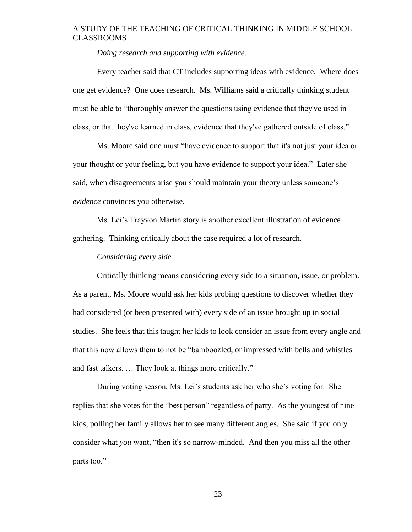*Doing research and supporting with evidence.*

<span id="page-28-0"></span>Every teacher said that CT includes supporting ideas with evidence. Where does one get evidence? One does research. Ms. Williams said a critically thinking student must be able to "thoroughly answer the questions using evidence that they've used in class, or that they've learned in class, evidence that they've gathered outside of class."

Ms. Moore said one must "have evidence to support that it's not just your idea or your thought or your feeling, but you have evidence to support your idea." Later she said, when disagreements arise you should maintain your theory unless someone's *evidence* convinces you otherwise.

Ms. Lei's Trayvon Martin story is another excellent illustration of evidence gathering. Thinking critically about the case required a lot of research.

*Considering every side.*

<span id="page-28-1"></span>Critically thinking means considering every side to a situation, issue, or problem. As a parent, Ms. Moore would ask her kids probing questions to discover whether they had considered (or been presented with) every side of an issue brought up in social studies. She feels that this taught her kids to look consider an issue from every angle and that this now allows them to not be "bamboozled, or impressed with bells and whistles and fast talkers. … They look at things more critically."

During voting season, Ms. Lei's students ask her who she's voting for. She replies that she votes for the "best person" regardless of party. As the youngest of nine kids, polling her family allows her to see many different angles. She said if you only consider what *you* want, "then it's so narrow-minded. And then you miss all the other parts too."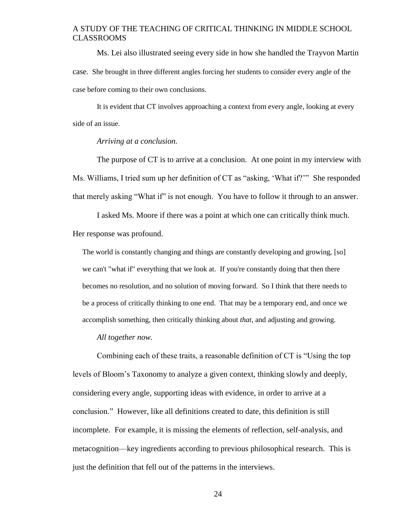Ms. Lei also illustrated seeing every side in how she handled the Trayvon Martin case. She brought in three different angles forcing her students to consider every angle of the case before coming to their own conclusions.

It is evident that CT involves approaching a context from every angle, looking at every side of an issue.

#### *Arriving at a conclusion.*

<span id="page-29-0"></span>The purpose of CT is to arrive at a conclusion. At one point in my interview with Ms. Williams, I tried sum up her definition of CT as "asking, 'What if?'" She responded that merely asking "What if" is not enough. You have to follow it through to an answer.

I asked Ms. Moore if there was a point at which one can critically think much. Her response was profound.

The world is constantly changing and things are constantly developing and growing, [so] we can't "what if" everything that we look at. If you're constantly doing that then there becomes no resolution, and no solution of moving forward. So I think that there needs to be a process of critically thinking to one end. That may be a temporary end, and once we accomplish something, then critically thinking about *that*, and adjusting and growing.

*All together now.*

<span id="page-29-1"></span>Combining each of these traits, a reasonable definition of CT is "Using the top levels of Bloom's Taxonomy to analyze a given context, thinking slowly and deeply, considering every angle, supporting ideas with evidence, in order to arrive at a conclusion." However, like all definitions created to date, this definition is still incomplete. For example, it is missing the elements of reflection, self-analysis, and metacognition—key ingredients according to previous philosophical research. This is just the definition that fell out of the patterns in the interviews.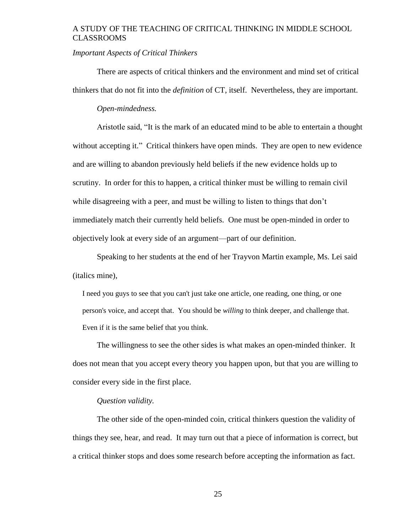#### <span id="page-30-0"></span>*Important Aspects of Critical Thinkers*

There are aspects of critical thinkers and the environment and mind set of critical thinkers that do not fit into the *definition* of CT, itself. Nevertheless, they are important.

#### *Open-mindedness.*

<span id="page-30-1"></span>Aristotle said, "It is the mark of an educated mind to be able to entertain a thought without accepting it." Critical thinkers have open minds. They are open to new evidence and are willing to abandon previously held beliefs if the new evidence holds up to scrutiny. In order for this to happen, a critical thinker must be willing to remain civil while disagreeing with a peer, and must be willing to listen to things that don't immediately match their currently held beliefs. One must be open-minded in order to objectively look at every side of an argument—part of our definition.

Speaking to her students at the end of her Trayvon Martin example, Ms. Lei said (italics mine),

I need you guys to see that you can't just take one article, one reading, one thing, or one person's voice, and accept that. You should be *willing* to think deeper, and challenge that. Even if it is the same belief that you think.

The willingness to see the other sides is what makes an open-minded thinker. It does not mean that you accept every theory you happen upon, but that you are willing to consider every side in the first place.

#### *Question validity.*

<span id="page-30-2"></span>The other side of the open-minded coin, critical thinkers question the validity of things they see, hear, and read. It may turn out that a piece of information is correct, but a critical thinker stops and does some research before accepting the information as fact.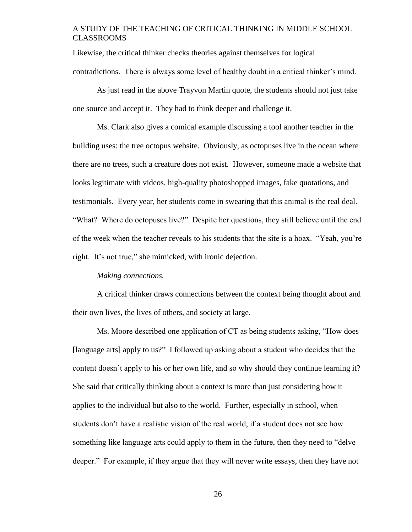Likewise, the critical thinker checks theories against themselves for logical contradictions. There is always some level of healthy doubt in a critical thinker's mind.

As just read in the above Trayvon Martin quote, the students should not just take one source and accept it. They had to think deeper and challenge it.

Ms. Clark also gives a comical example discussing a tool another teacher in the building uses: the tree octopus website. Obviously, as octopuses live in the ocean where there are no trees, such a creature does not exist. However, someone made a website that looks legitimate with videos, high-quality photoshopped images, fake quotations, and testimonials. Every year, her students come in swearing that this animal is the real deal. "What? Where do octopuses live?" Despite her questions, they still believe until the end of the week when the teacher reveals to his students that the site is a hoax. "Yeah, you're right. It's not true," she mimicked, with ironic dejection.

#### *Making connections.*

<span id="page-31-0"></span>A critical thinker draws connections between the context being thought about and their own lives, the lives of others, and society at large.

Ms. Moore described one application of CT as being students asking, "How does [language arts] apply to us?" I followed up asking about a student who decides that the content doesn't apply to his or her own life, and so why should they continue learning it? She said that critically thinking about a context is more than just considering how it applies to the individual but also to the world. Further, especially in school, when students don't have a realistic vision of the real world, if a student does not see how something like language arts could apply to them in the future, then they need to "delve deeper." For example, if they argue that they will never write essays, then they have not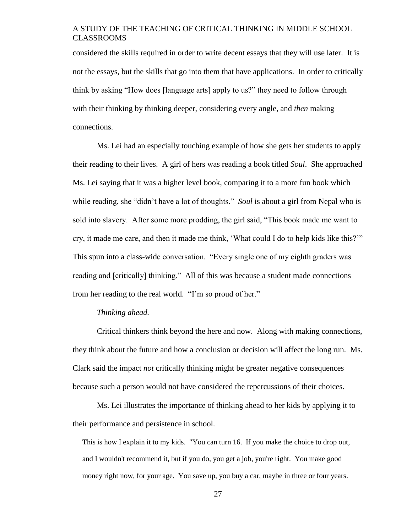considered the skills required in order to write decent essays that they will use later. It is not the essays, but the skills that go into them that have applications. In order to critically think by asking "How does [language arts] apply to us?" they need to follow through with their thinking by thinking deeper, considering every angle, and *then* making connections.

Ms. Lei had an especially touching example of how she gets her students to apply their reading to their lives. A girl of hers was reading a book titled *Soul*. She approached Ms. Lei saying that it was a higher level book, comparing it to a more fun book which while reading, she "didn't have a lot of thoughts." *Soul* is about a girl from Nepal who is sold into slavery. After some more prodding, the girl said, "This book made me want to cry, it made me care, and then it made me think, 'What could I do to help kids like this?'" This spun into a class-wide conversation. "Every single one of my eighth graders was reading and [critically] thinking." All of this was because a student made connections from her reading to the real world. "I'm so proud of her."

#### *Thinking ahead.*

<span id="page-32-0"></span>Critical thinkers think beyond the here and now. Along with making connections, they think about the future and how a conclusion or decision will affect the long run. Ms. Clark said the impact *not* critically thinking might be greater negative consequences because such a person would not have considered the repercussions of their choices.

Ms. Lei illustrates the importance of thinking ahead to her kids by applying it to their performance and persistence in school.

This is how I explain it to my kids. "You can turn 16. If you make the choice to drop out, and I wouldn't recommend it, but if you do, you get a job, you're right. You make good money right now, for your age. You save up, you buy a car, maybe in three or four years.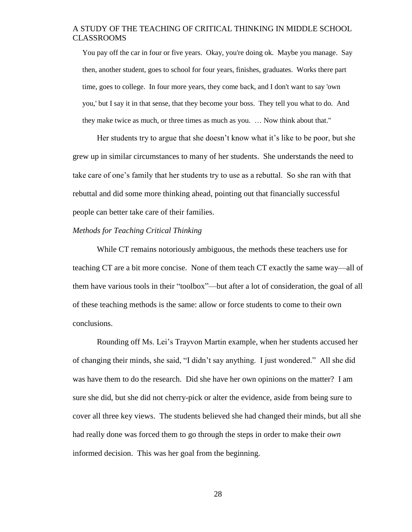You pay off the car in four or five years. Okay, you're doing ok. Maybe you manage. Say then, another student, goes to school for four years, finishes, graduates. Works there part time, goes to college. In four more years, they come back, and I don't want to say 'own you,' but I say it in that sense, that they become your boss. They tell you what to do. And they make twice as much, or three times as much as you. … Now think about that."

Her students try to argue that she doesn't know what it's like to be poor, but she grew up in similar circumstances to many of her students. She understands the need to take care of one's family that her students try to use as a rebuttal. So she ran with that rebuttal and did some more thinking ahead, pointing out that financially successful people can better take care of their families.

#### <span id="page-33-0"></span>*Methods for Teaching Critical Thinking*

While CT remains notoriously ambiguous, the methods these teachers use for teaching CT are a bit more concise. None of them teach CT exactly the same way—all of them have various tools in their "toolbox"—but after a lot of consideration, the goal of all of these teaching methods is the same: allow or force students to come to their own conclusions.

Rounding off Ms. Lei's Trayvon Martin example, when her students accused her of changing their minds, she said, "I didn't say anything. I just wondered." All she did was have them to do the research. Did she have her own opinions on the matter? I am sure she did, but she did not cherry-pick or alter the evidence, aside from being sure to cover all three key views. The students believed she had changed their minds, but all she had really done was forced them to go through the steps in order to make their *own* informed decision. This was her goal from the beginning.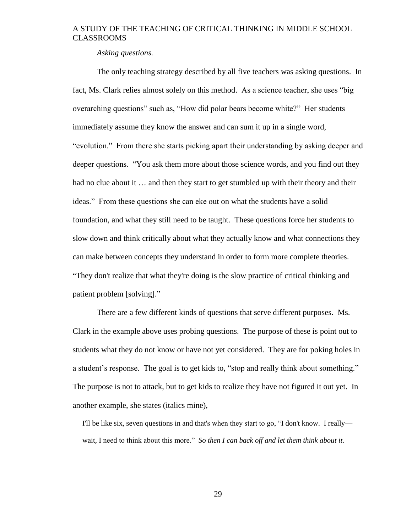*Asking questions.*

<span id="page-34-0"></span>The only teaching strategy described by all five teachers was asking questions. In fact, Ms. Clark relies almost solely on this method. As a science teacher, she uses "big overarching questions" such as, "How did polar bears become white?" Her students immediately assume they know the answer and can sum it up in a single word, "evolution." From there she starts picking apart their understanding by asking deeper and deeper questions. "You ask them more about those science words, and you find out they had no clue about it ... and then they start to get stumbled up with their theory and their ideas." From these questions she can eke out on what the students have a solid foundation, and what they still need to be taught. These questions force her students to slow down and think critically about what they actually know and what connections they can make between concepts they understand in order to form more complete theories. "They don't realize that what they're doing is the slow practice of critical thinking and patient problem [solving]."

There are a few different kinds of questions that serve different purposes. Ms. Clark in the example above uses probing questions. The purpose of these is point out to students what they do not know or have not yet considered. They are for poking holes in a student's response. The goal is to get kids to, "stop and really think about something." The purpose is not to attack, but to get kids to realize they have not figured it out yet. In another example, she states (italics mine),

I'll be like six, seven questions in and that's when they start to go, "I don't know. I really wait, I need to think about this more." *So then I can back off and let them think about it.*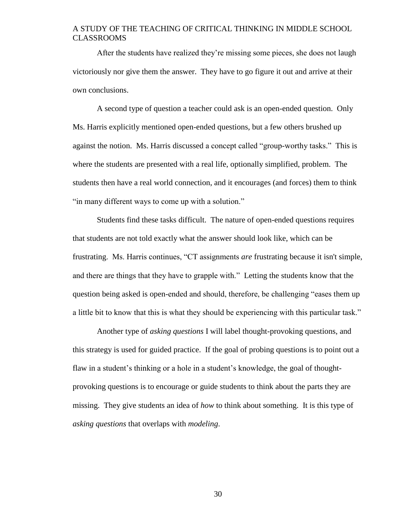After the students have realized they're missing some pieces, she does not laugh victoriously nor give them the answer. They have to go figure it out and arrive at their own conclusions.

A second type of question a teacher could ask is an open-ended question. Only Ms. Harris explicitly mentioned open-ended questions, but a few others brushed up against the notion. Ms. Harris discussed a concept called "group-worthy tasks." This is where the students are presented with a real life, optionally simplified, problem. The students then have a real world connection, and it encourages (and forces) them to think "in many different ways to come up with a solution."

Students find these tasks difficult. The nature of open-ended questions requires that students are not told exactly what the answer should look like, which can be frustrating. Ms. Harris continues, "CT assignments *are* frustrating because it isn't simple, and there are things that they have to grapple with." Letting the students know that the question being asked is open-ended and should, therefore, be challenging "eases them up a little bit to know that this is what they should be experiencing with this particular task."

Another type of *asking questions* I will label thought-provoking questions, and this strategy is used for guided practice. If the goal of probing questions is to point out a flaw in a student's thinking or a hole in a student's knowledge, the goal of thoughtprovoking questions is to encourage or guide students to think about the parts they are missing. They give students an idea of *how* to think about something. It is this type of *asking questions* that overlaps with *modeling*.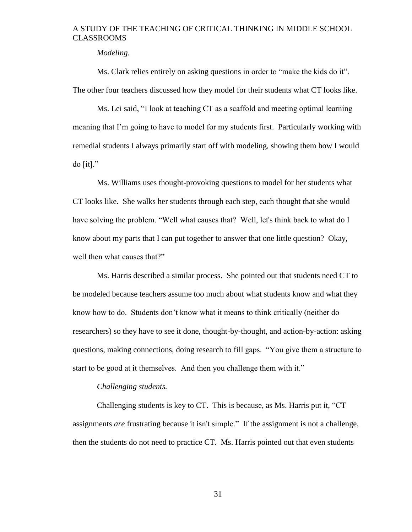#### *Modeling.*

<span id="page-36-0"></span>Ms. Clark relies entirely on asking questions in order to "make the kids do it". The other four teachers discussed how they model for their students what CT looks like.

Ms. Lei said, "I look at teaching CT as a scaffold and meeting optimal learning meaning that I'm going to have to model for my students first. Particularly working with remedial students I always primarily start off with modeling, showing them how I would  $d$ o [it]."

Ms. Williams uses thought-provoking questions to model for her students what CT looks like. She walks her students through each step, each thought that she would have solving the problem. "Well what causes that? Well, let's think back to what do I know about my parts that I can put together to answer that one little question? Okay, well then what causes that?"

Ms. Harris described a similar process. She pointed out that students need CT to be modeled because teachers assume too much about what students know and what they know how to do. Students don't know what it means to think critically (neither do researchers) so they have to see it done, thought-by-thought, and action-by-action: asking questions, making connections, doing research to fill gaps. "You give them a structure to start to be good at it themselves. And then you challenge them with it."

#### *Challenging students.*

<span id="page-36-1"></span>Challenging students is key to CT. This is because, as Ms. Harris put it, "CT assignments *are* frustrating because it isn't simple." If the assignment is not a challenge, then the students do not need to practice CT. Ms. Harris pointed out that even students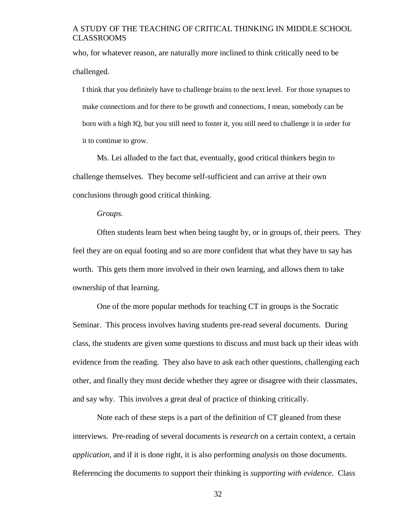who, for whatever reason, are naturally more inclined to think critically need to be challenged.

I think that you definitely have to challenge brains to the next level. For those synapses to make connections and for there to be growth and connections, I mean, somebody can be born with a high IQ, but you still need to foster it, you still need to challenge it in order for it to continue to grow.

Ms. Lei alluded to the fact that, eventually, good critical thinkers begin to challenge themselves. They become self-sufficient and can arrive at their own conclusions through good critical thinking.

#### *Groups.*

<span id="page-37-0"></span>Often students learn best when being taught by, or in groups of, their peers. They feel they are on equal footing and so are more confident that what they have to say has worth. This gets them more involved in their own learning, and allows them to take ownership of that learning.

One of the more popular methods for teaching CT in groups is the Socratic Seminar. This process involves having students pre-read several documents. During class, the students are given some questions to discuss and must back up their ideas with evidence from the reading. They also have to ask each other questions, challenging each other, and finally they must decide whether they agree or disagree with their classmates, and say why. This involves a great deal of practice of thinking critically.

Note each of these steps is a part of the definition of CT gleaned from these interviews. Pre-reading of several documents is *research* on a certain context, a certain *application*, and if it is done right, it is also performing *analysis* on those documents. Referencing the documents to support their thinking is *supporting with evidence*. Class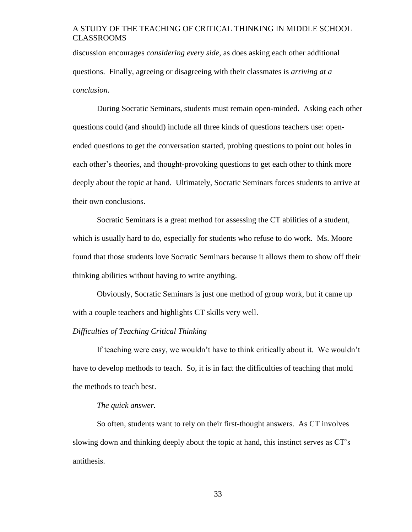discussion encourages *considering every side*, as does asking each other additional questions. Finally, agreeing or disagreeing with their classmates is *arriving at a conclusion*.

During Socratic Seminars, students must remain open-minded. Asking each other questions could (and should) include all three kinds of questions teachers use: openended questions to get the conversation started, probing questions to point out holes in each other's theories, and thought-provoking questions to get each other to think more deeply about the topic at hand. Ultimately, Socratic Seminars forces students to arrive at their own conclusions.

Socratic Seminars is a great method for assessing the CT abilities of a student, which is usually hard to do, especially for students who refuse to do work. Ms. Moore found that those students love Socratic Seminars because it allows them to show off their thinking abilities without having to write anything.

Obviously, Socratic Seminars is just one method of group work, but it came up with a couple teachers and highlights CT skills very well.

#### <span id="page-38-0"></span>*Difficulties of Teaching Critical Thinking*

If teaching were easy, we wouldn't have to think critically about it. We wouldn't have to develop methods to teach. So, it is in fact the difficulties of teaching that mold the methods to teach best.

#### *The quick answer.*

<span id="page-38-1"></span>So often, students want to rely on their first-thought answers. As CT involves slowing down and thinking deeply about the topic at hand, this instinct serves as CT's antithesis.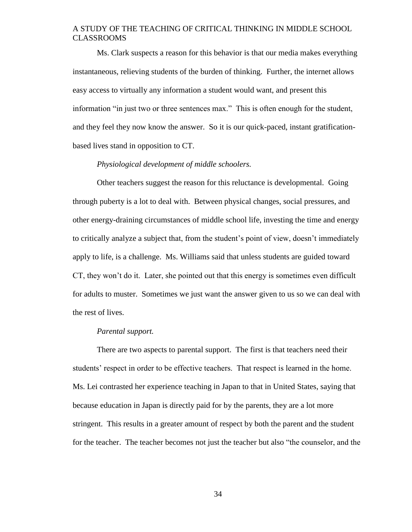Ms. Clark suspects a reason for this behavior is that our media makes everything instantaneous, relieving students of the burden of thinking. Further, the internet allows easy access to virtually any information a student would want, and present this information "in just two or three sentences max." This is often enough for the student, and they feel they now know the answer. So it is our quick-paced, instant gratificationbased lives stand in opposition to CT.

#### *Physiological development of middle schoolers.*

<span id="page-39-0"></span>Other teachers suggest the reason for this reluctance is developmental. Going through puberty is a lot to deal with. Between physical changes, social pressures, and other energy-draining circumstances of middle school life, investing the time and energy to critically analyze a subject that, from the student's point of view, doesn't immediately apply to life, is a challenge. Ms. Williams said that unless students are guided toward CT, they won't do it. Later, she pointed out that this energy is sometimes even difficult for adults to muster. Sometimes we just want the answer given to us so we can deal with the rest of lives.

#### *Parental support.*

<span id="page-39-1"></span>There are two aspects to parental support. The first is that teachers need their students' respect in order to be effective teachers. That respect is learned in the home. Ms. Lei contrasted her experience teaching in Japan to that in United States, saying that because education in Japan is directly paid for by the parents, they are a lot more stringent. This results in a greater amount of respect by both the parent and the student for the teacher. The teacher becomes not just the teacher but also "the counselor, and the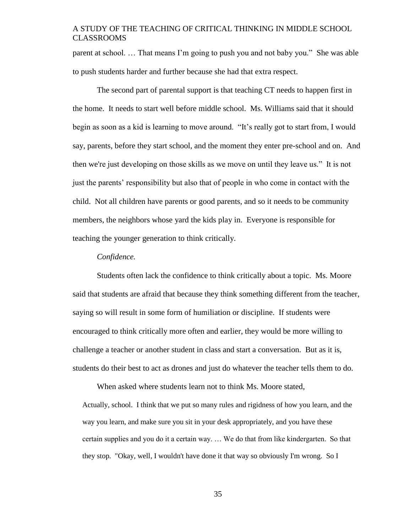parent at school. … That means I'm going to push you and not baby you." She was able to push students harder and further because she had that extra respect.

The second part of parental support is that teaching CT needs to happen first in the home. It needs to start well before middle school. Ms. Williams said that it should begin as soon as a kid is learning to move around. "It's really got to start from, I would say, parents, before they start school, and the moment they enter pre-school and on. And then we're just developing on those skills as we move on until they leave us." It is not just the parents' responsibility but also that of people in who come in contact with the child. Not all children have parents or good parents, and so it needs to be community members, the neighbors whose yard the kids play in. Everyone is responsible for teaching the younger generation to think critically.

#### *Confidence.*

<span id="page-40-0"></span>Students often lack the confidence to think critically about a topic. Ms. Moore said that students are afraid that because they think something different from the teacher, saying so will result in some form of humiliation or discipline. If students were encouraged to think critically more often and earlier, they would be more willing to challenge a teacher or another student in class and start a conversation. But as it is, students do their best to act as drones and just do whatever the teacher tells them to do.

When asked where students learn not to think Ms. Moore stated, Actually, school. I think that we put so many rules and rigidness of how you learn, and the way you learn, and make sure you sit in your desk appropriately, and you have these certain supplies and you do it a certain way. … We do that from like kindergarten. So that they stop. "Okay, well, I wouldn't have done it that way so obviously I'm wrong. So I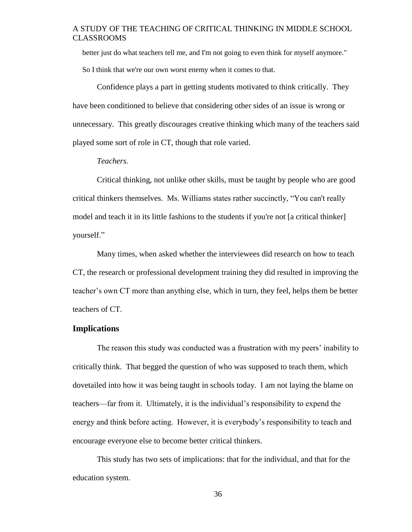better just do what teachers tell me, and I'm not going to even think for myself anymore." So I think that we're our own worst enemy when it comes to that.

Confidence plays a part in getting students motivated to think critically. They have been conditioned to believe that considering other sides of an issue is wrong or unnecessary. This greatly discourages creative thinking which many of the teachers said played some sort of role in CT, though that role varied.

#### *Teachers.*

<span id="page-41-0"></span>Critical thinking, not unlike other skills, must be taught by people who are good critical thinkers themselves. Ms. Williams states rather succinctly, "You can't really model and teach it in its little fashions to the students if you're not [a critical thinker] yourself."

Many times, when asked whether the interviewees did research on how to teach CT, the research or professional development training they did resulted in improving the teacher's own CT more than anything else, which in turn, they feel, helps them be better teachers of CT.

#### <span id="page-41-1"></span>**Implications**

The reason this study was conducted was a frustration with my peers' inability to critically think. That begged the question of who was supposed to teach them, which dovetailed into how it was being taught in schools today. I am not laying the blame on teachers—far from it. Ultimately, it is the individual's responsibility to expend the energy and think before acting. However, it is everybody's responsibility to teach and encourage everyone else to become better critical thinkers.

This study has two sets of implications: that for the individual, and that for the education system.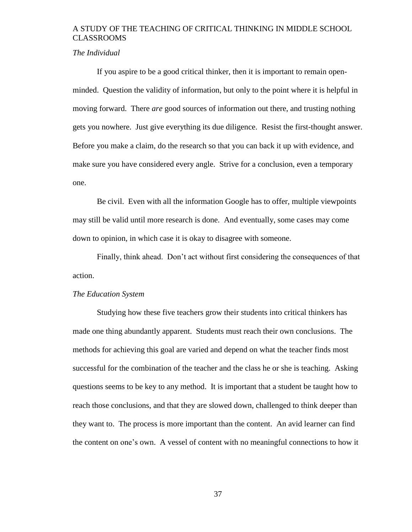#### <span id="page-42-0"></span>*The Individual*

If you aspire to be a good critical thinker, then it is important to remain openminded. Question the validity of information, but only to the point where it is helpful in moving forward. There *are* good sources of information out there, and trusting nothing gets you nowhere. Just give everything its due diligence. Resist the first-thought answer. Before you make a claim, do the research so that you can back it up with evidence, and make sure you have considered every angle. Strive for a conclusion, even a temporary one.

Be civil. Even with all the information Google has to offer, multiple viewpoints may still be valid until more research is done. And eventually, some cases may come down to opinion, in which case it is okay to disagree with someone.

Finally, think ahead. Don't act without first considering the consequences of that action.

#### <span id="page-42-1"></span>*The Education System*

Studying how these five teachers grow their students into critical thinkers has made one thing abundantly apparent. Students must reach their own conclusions. The methods for achieving this goal are varied and depend on what the teacher finds most successful for the combination of the teacher and the class he or she is teaching. Asking questions seems to be key to any method. It is important that a student be taught how to reach those conclusions, and that they are slowed down, challenged to think deeper than they want to. The process is more important than the content. An avid learner can find the content on one's own. A vessel of content with no meaningful connections to how it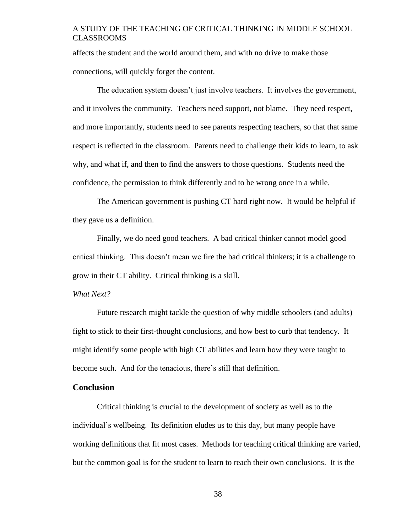affects the student and the world around them, and with no drive to make those connections, will quickly forget the content.

The education system doesn't just involve teachers. It involves the government, and it involves the community. Teachers need support, not blame. They need respect, and more importantly, students need to see parents respecting teachers, so that that same respect is reflected in the classroom. Parents need to challenge their kids to learn, to ask why, and what if, and then to find the answers to those questions. Students need the confidence, the permission to think differently and to be wrong once in a while.

The American government is pushing CT hard right now. It would be helpful if they gave us a definition.

Finally, we do need good teachers. A bad critical thinker cannot model good critical thinking. This doesn't mean we fire the bad critical thinkers; it is a challenge to grow in their CT ability. Critical thinking is a skill.

#### <span id="page-43-0"></span>*What Next?*

Future research might tackle the question of why middle schoolers (and adults) fight to stick to their first-thought conclusions, and how best to curb that tendency. It might identify some people with high CT abilities and learn how they were taught to become such. And for the tenacious, there's still that definition.

#### <span id="page-43-1"></span>**Conclusion**

Critical thinking is crucial to the development of society as well as to the individual's wellbeing. Its definition eludes us to this day, but many people have working definitions that fit most cases. Methods for teaching critical thinking are varied, but the common goal is for the student to learn to reach their own conclusions. It is the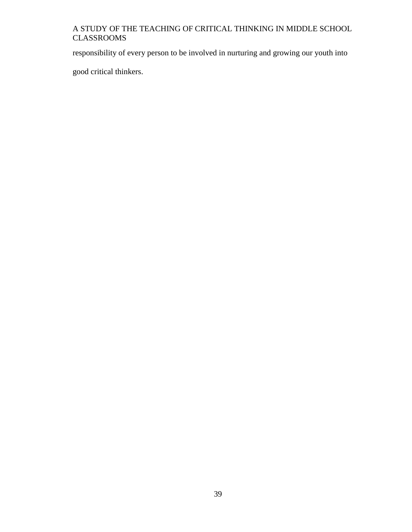responsibility of every person to be involved in nurturing and growing our youth into

good critical thinkers.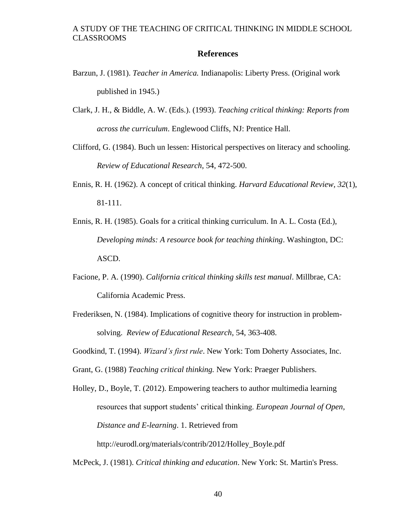#### **References**

- <span id="page-45-0"></span>Barzun, J. (1981). *Teacher in America.* Indianapolis: Liberty Press. (Original work published in 1945.)
- Clark, J. H., & Biddle, A. W. (Eds.). (1993). *Teaching critical thinking: Reports from across the curriculum*. Englewood Cliffs, NJ: Prentice Hall.
- Clifford, G. (1984). Buch un lessen: Historical perspectives on literacy and schooling. *Review of Educational Research*, 54, 472-500.
- Ennis, R. H. (1962). A concept of critical thinking. *Harvard Educational Review, 32*(1), 81-111.
- Ennis, R. H. (1985). Goals for a critical thinking curriculum. In A. L. Costa (Ed.), *Developing minds: A resource book for teaching thinking*. Washington, DC: ASCD.
- Facione, P. A. (1990). *California critical thinking skills test manual*. Millbrae, CA: California Academic Press.
- Frederiksen, N. (1984). Implications of cognitive theory for instruction in problemsolving. *Review of Educational Research*, 54, 363-408.
- Goodkind, T. (1994). *Wizard's first rule*. New York: Tom Doherty Associates, Inc.

Grant, G. (1988) *Teaching critical thinking.* New York: Praeger Publishers.

Holley, D., Boyle, T. (2012). Empowering teachers to author multimedia learning resources that support students' critical thinking. *European Journal of Open, Distance and E-learning*. 1. Retrieved from

http://eurodl.org/materials/contrib/2012/Holley\_Boyle.pdf

McPeck, J. (1981). *Critical thinking and education*. New York: St. Martin's Press.